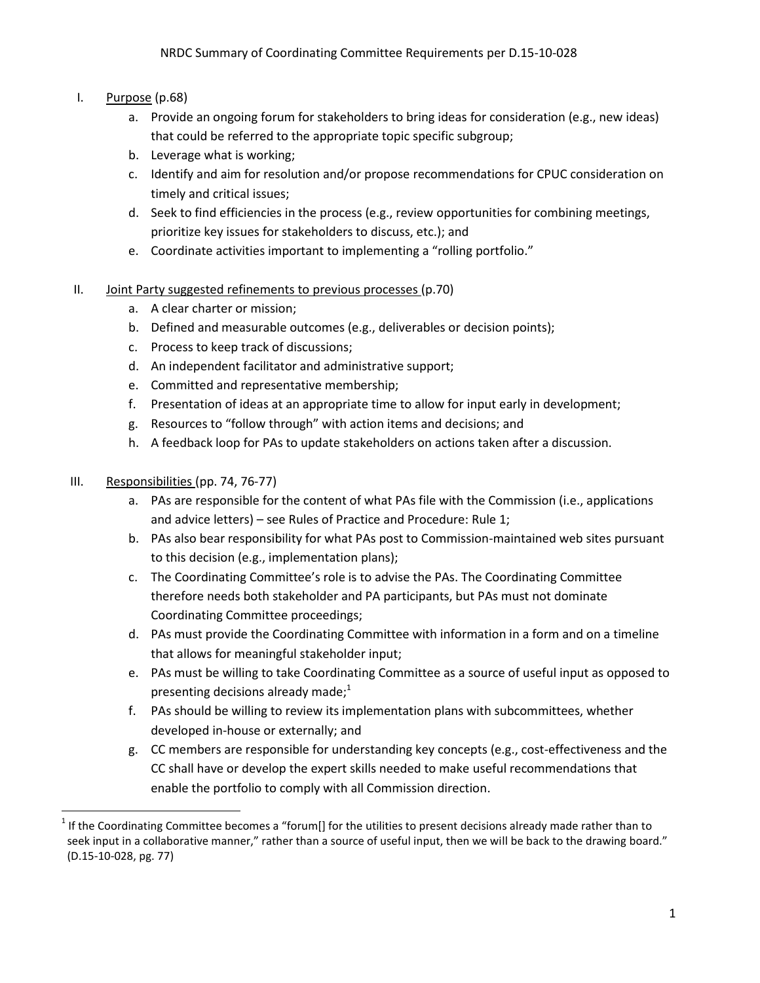# I. Purpose  $(p.68)$

- a. Provide an ongoing forum for stakeholders to bring ideas for consideration (e.g., new ideas) that could be referred to the appropriate topic specific subgroup;
- b. Leverage what is working;
- c. Identify and aim for resolution and/or propose recommendations for CPUC consideration on timely and critical issues;
- d. Seek to find efficiencies in the process (e.g., review opportunities for combining meetings, prioritize key issues for stakeholders to discuss, etc.); and
- e. Coordinate activities important to implementing a "rolling portfolio."
- II. Joint Party suggested refinements to previous processes (p.70)
	- a. A clear charter or mission;
	- b. Defined and measurable outcomes (e.g., deliverables or decision points);
	- c. Process to keep track of discussions;
	- d. An independent facilitator and administrative support;
	- e. Committed and representative membership;
	- f. Presentation of ideas at an appropriate time to allow for input early in development;
	- g. Resources to "follow through" with action items and decisions; and
	- h. A feedback loop for PAs to update stakeholders on actions taken after a discussion.

#### III. Responsibilities (pp. 74, 76-77)

- a. PAs are responsible for the content of what PAs file with the Commission (i.e., applications and advice letters) – see Rules of Practice and Procedure: Rule 1;
- b. PAs also bear responsibility for what PAs post to Commission-maintained web sites pursuant to this decision (e.g., implementation plans);
- c. The Coordinating Committee's role is to advise the PAs. The Coordinating Committee therefore needs both stakeholder and PA participants, but PAs must not dominate Coordinating Committee proceedings;
- d. PAs must provide the Coordinating Committee with information in a form and on a timeline that allows for meaningful stakeholder input;
- e. PAs must be willing to take Coordinating Committee as a source of useful input as opposed to presenting decisions already made; $1$
- f. PAs should be willing to review its implementation plans with subcommittees, whether developed in-house or externally; and
- g. CC members are responsible for understanding key concepts (e.g., cost-effectiveness and the CC shall have or develop the expert skills needed to make useful recommendations that enable the portfolio to comply with all Commission direction.

 $1$  If the Coordinating Committee becomes a "forum[] for the utilities to present decisions already made rather than to seek input in a collaborative manner," rather than a source of useful input, then we will be back to the drawing board." (D.15-10-028, pg. 77)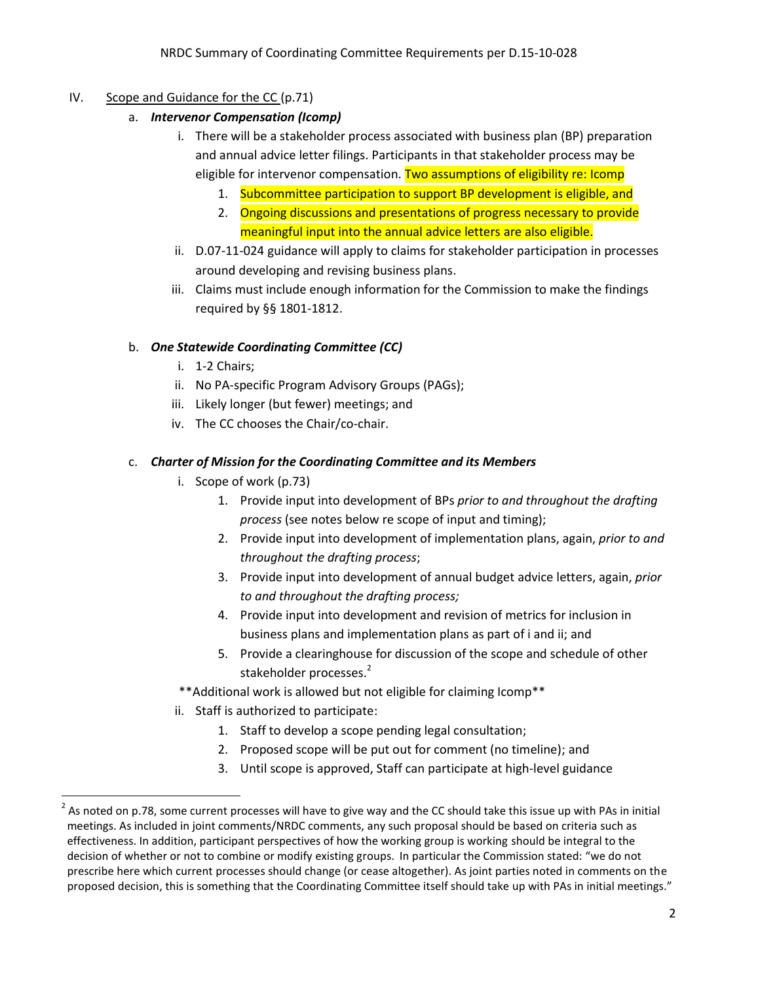### IV. Scope and Guidance for the CC (p.71)

- a. *Intervenor Compensation (Icomp)*
	- i. There will be a stakeholder process associated with business plan (BP) preparation and annual advice letter filings. Participants in that stakeholder process may be eligible for intervenor compensation. Two assumptions of eligibility re: Icomp
		- 1. Subcommittee participation to support BP development is eligible, and
		- 2. Ongoing discussions and presentations of progress necessary to provide meaningful input into the annual advice letters are also eligible.
	- ii. D.07-11-024 guidance will apply to claims for stakeholder participation in processes around developing and revising business plans.
	- iii. Claims must include enough information for the Commission to make the findings required by §§ 1801-1812.

#### b. *One Statewide Coordinating Committee (CC)*

- i. 1-2 Chairs;
- ii. No PA-specific Program Advisory Groups (PAGs);
- iii. Likely longer (but fewer) meetings; and
- iv. The CC chooses the Chair/co-chair.

#### c. *Charter of Mission for the Coordinating Committee and its Members*

- i. Scope of work (p.73)
	- 1. Provide input into development of BPs *prior to and throughout the drafting process* (see notes below re scope of input and timing);
	- 2. Provide input into development of implementation plans, again, *prior to and throughout the drafting process*;
	- 3. Provide input into development of annual budget advice letters, again, *prior to and throughout the drafting process;*
	- 4. Provide input into development and revision of metrics for inclusion in business plans and implementation plans as part of i and ii; and
	- 5. Provide a clearinghouse for discussion of the scope and schedule of other stakeholder processes.<sup>2</sup>
- \*\*Additional work is allowed but not eligible for claiming Icomp\*\*
- ii. Staff is authorized to participate:
	- 1. Staff to develop a scope pending legal consultation;
	- 2. Proposed scope will be put out for comment (no timeline); and
	- 3. Until scope is approved, Staff can participate at high-level guidance

 <sup>2</sup> As noted on p.78, some current processes will have to give way and the CC should take this issue up with PAs in initial meetings. As included in joint comments/NRDC comments, any such proposal should be based on criteria such as effectiveness. In addition, participant perspectives of how the working group is working should be integral to the decision of whether or not to combine or modify existing groups. In particular the Commission stated: "we do not prescribe here which current processes should change (or cease altogether). As joint parties noted in comments on the proposed decision, this is something that the Coordinating Committee itself should take up with PAs in initial meetings."